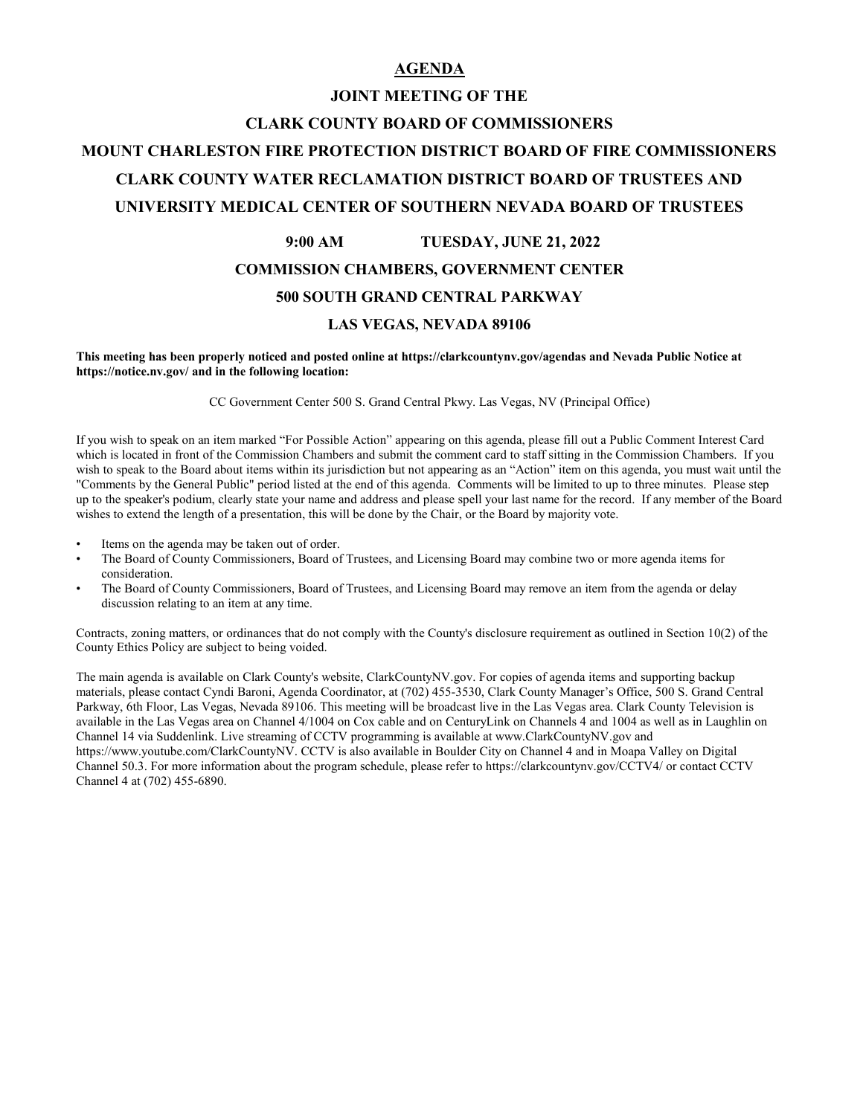#### **AGENDA**

# **JOINT MEETING OF THE CLARK COUNTY BOARD OF COMMISSIONERS MOUNT CHARLESTON FIRE PROTECTION DISTRICT BOARD OF FIRE COMMISSIONERS CLARK COUNTY WATER RECLAMATION DISTRICT BOARD OF TRUSTEES AND UNIVERSITY MEDICAL CENTER OF SOUTHERN NEVADA BOARD OF TRUSTEES**

# **9:00 AM TUESDAY, JUNE 21, 2022 COMMISSION CHAMBERS, GOVERNMENT CENTER**

#### **500 SOUTH GRAND CENTRAL PARKWAY**

#### **LAS VEGAS, NEVADA 89106**

**This meeting has been properly noticed and posted online at https://clarkcountynv.gov/agendas and Nevada Public Notice at https://notice.nv.gov/ and in the following location:**

CC Government Center 500 S. Grand Central Pkwy. Las Vegas, NV (Principal Office)

If you wish to speak on an item marked "For Possible Action" appearing on this agenda, please fill out a Public Comment Interest Card which is located in front of the Commission Chambers and submit the comment card to staff sitting in the Commission Chambers. If you wish to speak to the Board about items within its jurisdiction but not appearing as an "Action" item on this agenda, you must wait until the "Comments by the General Public" period listed at the end of this agenda. Comments will be limited to up to three minutes. Please step up to the speaker's podium, clearly state your name and address and please spell your last name for the record. If any member of the Board wishes to extend the length of a presentation, this will be done by the Chair, or the Board by majority vote.

- Items on the agenda may be taken out of order.
- The Board of County Commissioners, Board of Trustees, and Licensing Board may combine two or more agenda items for consideration.
- The Board of County Commissioners, Board of Trustees, and Licensing Board may remove an item from the agenda or delay discussion relating to an item at any time.

Contracts, zoning matters, or ordinances that do not comply with the County's disclosure requirement as outlined in Section 10(2) of the County Ethics Policy are subject to being voided.

The main agenda is available on Clark County's website, ClarkCountyNV.gov. For copies of agenda items and supporting backup materials, please contact Cyndi Baroni, Agenda Coordinator, at (702) 455-3530, Clark County Manager's Office, 500 S. Grand Central Parkway, 6th Floor, Las Vegas, Nevada 89106. This meeting will be broadcast live in the Las Vegas area. Clark County Television is available in the Las Vegas area on Channel 4/1004 on Cox cable and on CenturyLink on Channels 4 and 1004 as well as in Laughlin on Channel 14 via Suddenlink. Live streaming of CCTV programming is available at www.ClarkCountyNV.gov and https://www.youtube.com/ClarkCountyNV. CCTV is also available in Boulder City on Channel 4 and in Moapa Valley on Digital Channel 50.3. For more information about the program schedule, please refer to https://clarkcountynv.gov/CCTV4/ or contact CCTV Channel 4 at (702) 455-6890.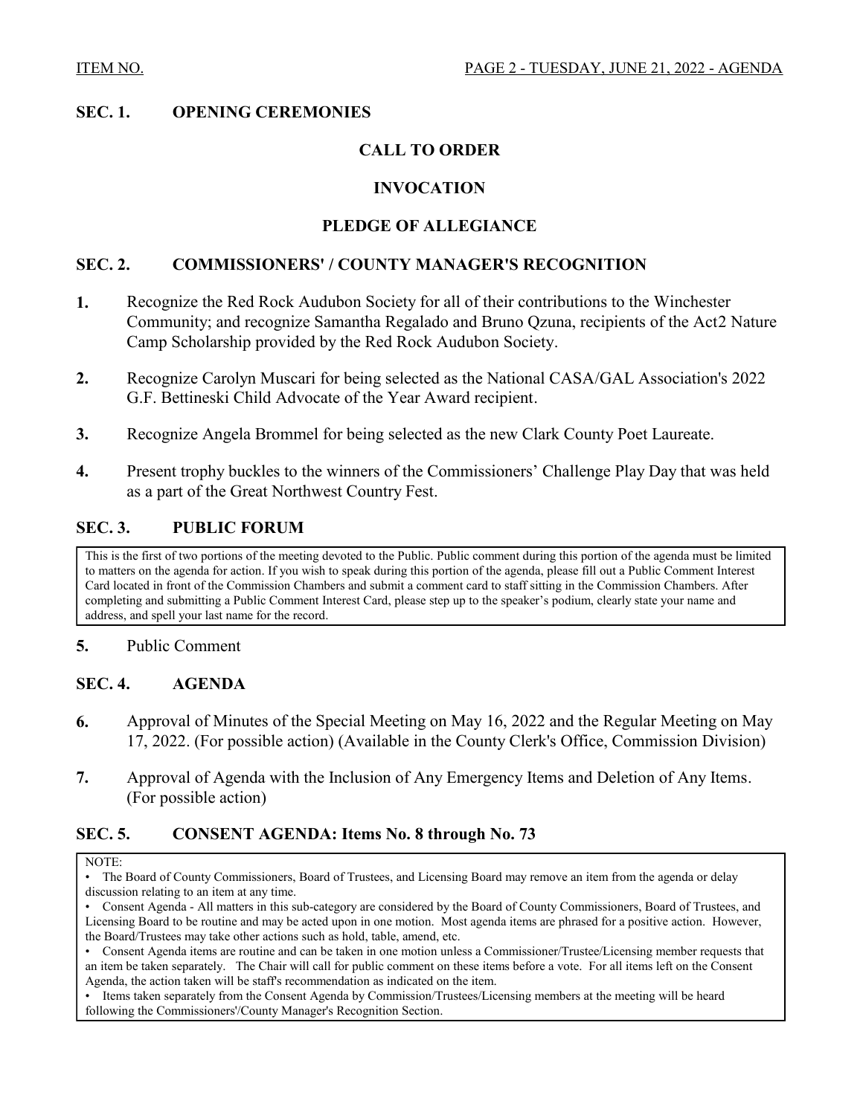### **SEC. 1. OPENING CEREMONIES**

### **CALL TO ORDER**

### **INVOCATION**

### **PLEDGE OF ALLEGIANCE**

#### **SEC. 2. COMMISSIONERS' / COUNTY MANAGER'S RECOGNITION**

- **1.** Recognize the Red Rock Audubon Society for all of their contributions to the Winchester [Community; and recognize Samantha Regalado and Bruno Qzuna, recipients of the Act2 Nature](http://clark.legistar.com/gateway.aspx?m=l&id=/matter.aspx?key=9069)  Camp Scholarship provided by the Red Rock Audubon Society.
- **2.** [Recognize Carolyn Muscari for being selected as the National CASA/GAL Association's 2022](http://clark.legistar.com/gateway.aspx?m=l&id=/matter.aspx?key=9070)  G.F. Bettineski Child Advocate of the Year Award recipient.
- **3.** [Recognize Angela Brommel for being selected as the new Clark County Poet Laureate.](http://clark.legistar.com/gateway.aspx?m=l&id=/matter.aspx?key=9072)
- **4.** [Present trophy buckles to the winners of the Commissioners' Challenge Play Day that was held](http://clark.legistar.com/gateway.aspx?m=l&id=/matter.aspx?key=9242)  as a part of the Great Northwest Country Fest.

#### **SEC. 3. PUBLIC FORUM**

This is the first of two portions of the meeting devoted to the Public. Public comment during this portion of the agenda must be limited to matters on the agenda for action. If you wish to speak during this portion of the agenda, please fill out a Public Comment Interest Card located in front of the Commission Chambers and submit a comment card to staff sitting in the Commission Chambers. After completing and submitting a Public Comment Interest Card, please step up to the speaker's podium, clearly state your name and address, and spell your last name for the record.

### **5.** [Public Comment](http://clark.legistar.com/gateway.aspx?m=l&id=/matter.aspx?key=8820)

#### **SEC. 4. AGENDA**

- **6.** [Approval of Minutes of the Special Meeting on May 16, 2022 and the Regular Meeting on May](http://clark.legistar.com/gateway.aspx?m=l&id=/matter.aspx?key=8818)  17, 2022. (For possible action) (Available in the County Clerk's Office, Commission Division)
- **7.** [Approval of Agenda with the Inclusion of Any Emergency Items and Deletion of Any Items.](http://clark.legistar.com/gateway.aspx?m=l&id=/matter.aspx?key=8819)  (For possible action)

### **SEC. 5. CONSENT AGENDA: Items No. 8 through No. 73**

• Items taken separately from the Consent Agenda by Commission/Trustees/Licensing members at the meeting will be heard following the Commissioners'/County Manager's Recognition Section.

NOTE:

<sup>•</sup> The Board of County Commissioners, Board of Trustees, and Licensing Board may remove an item from the agenda or delay discussion relating to an item at any time.

<sup>•</sup> Consent Agenda - All matters in this sub-category are considered by the Board of County Commissioners, Board of Trustees, and Licensing Board to be routine and may be acted upon in one motion. Most agenda items are phrased for a positive action. However, the Board/Trustees may take other actions such as hold, table, amend, etc.

<sup>•</sup> Consent Agenda items are routine and can be taken in one motion unless a Commissioner/Trustee/Licensing member requests that an item be taken separately. The Chair will call for public comment on these items before a vote. For all items left on the Consent Agenda, the action taken will be staff's recommendation as indicated on the item.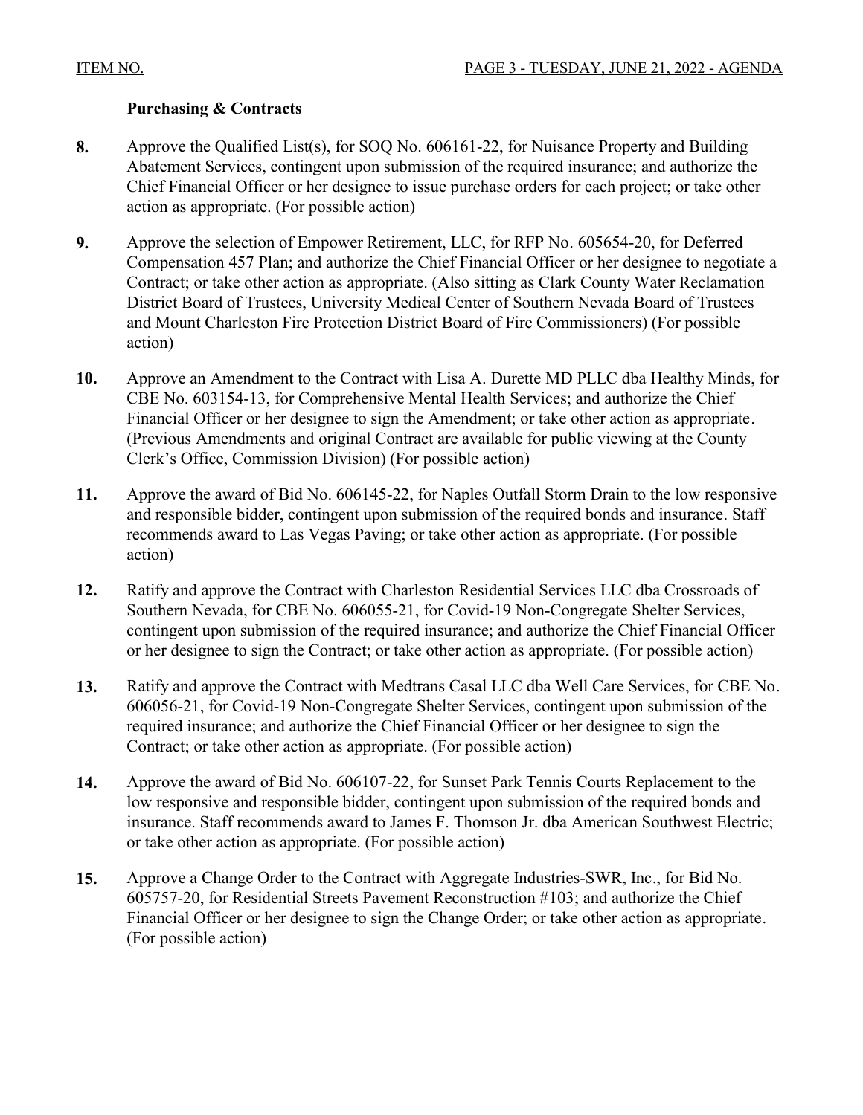### **Purchasing & Contracts**

- **8.** Approve the Qualified List(s), for SOQ No. 606161-22, for Nuisance Property and Building Abatement Services, contingent upon submission of the required insurance; and authorize the [Chief Financial Officer or her designee to issue purchase orders for each project; or take other](http://clark.legistar.com/gateway.aspx?m=l&id=/matter.aspx?key=8684)  action as appropriate. (For possible action)
- **9.** Approve the selection of Empower Retirement, LLC, for RFP No. 605654-20, for Deferred [Compensation 457 Plan; and authorize the Chief Financial Officer or her designee to negotiate a](http://clark.legistar.com/gateway.aspx?m=l&id=/matter.aspx?key=8844)  Contract; or take other action as appropriate. (Also sitting as Clark County Water Reclamation District Board of Trustees, University Medical Center of Southern Nevada Board of Trustees and Mount Charleston Fire Protection District Board of Fire Commissioners) (For possible action)
- **10.** [Approve an Amendment to the Contract with Lisa A. Durette MD PLLC dba Healthy Minds, for](http://clark.legistar.com/gateway.aspx?m=l&id=/matter.aspx?key=8845)  CBE No. 603154-13, for Comprehensive Mental Health Services; and authorize the Chief Financial Officer or her designee to sign the Amendment; or take other action as appropriate. (Previous Amendments and original Contract are available for public viewing at the County Clerk's Office, Commission Division) (For possible action)
- **11.** [Approve the award of Bid No. 606145-22, for Naples Outfall Storm Drain to the low responsive](http://clark.legistar.com/gateway.aspx?m=l&id=/matter.aspx?key=8846)  and responsible bidder, contingent upon submission of the required bonds and insurance. Staff recommends award to Las Vegas Paving; or take other action as appropriate. (For possible action)
- **12.** Ratify and approve the Contract with Charleston Residential Services LLC dba Crossroads of Southern Nevada, for CBE No. 606055-21, for Covid-19 Non-Congregate Shelter Services, [contingent upon submission of the required insurance; and authorize the Chief Financial Officer](http://clark.legistar.com/gateway.aspx?m=l&id=/matter.aspx?key=8847)  or her designee to sign the Contract; or take other action as appropriate. (For possible action)
- **13.** [Ratify and approve the Contract with Medtrans Casal LLC dba Well Care Services, for CBE No.](http://clark.legistar.com/gateway.aspx?m=l&id=/matter.aspx?key=8848)  606056-21, for Covid-19 Non-Congregate Shelter Services, contingent upon submission of the required insurance; and authorize the Chief Financial Officer or her designee to sign the Contract; or take other action as appropriate. (For possible action)
- **14.** Approve the award of Bid No. 606107-22, for Sunset Park Tennis Courts Replacement to the low responsive and responsible bidder, contingent upon submission of the required bonds and [insurance. Staff recommends award to James F. Thomson Jr. dba American Southwest Electric;](http://clark.legistar.com/gateway.aspx?m=l&id=/matter.aspx?key=8849)  or take other action as appropriate. (For possible action)
- **15.** Approve a Change Order to the Contract with Aggregate Industries-SWR, Inc., for Bid No. 605757-20, for Residential Streets Pavement Reconstruction #103; and authorize the Chief [Financial Officer or her designee to sign the Change Order; or take other action as appropriate.](http://clark.legistar.com/gateway.aspx?m=l&id=/matter.aspx?key=8861)  (For possible action)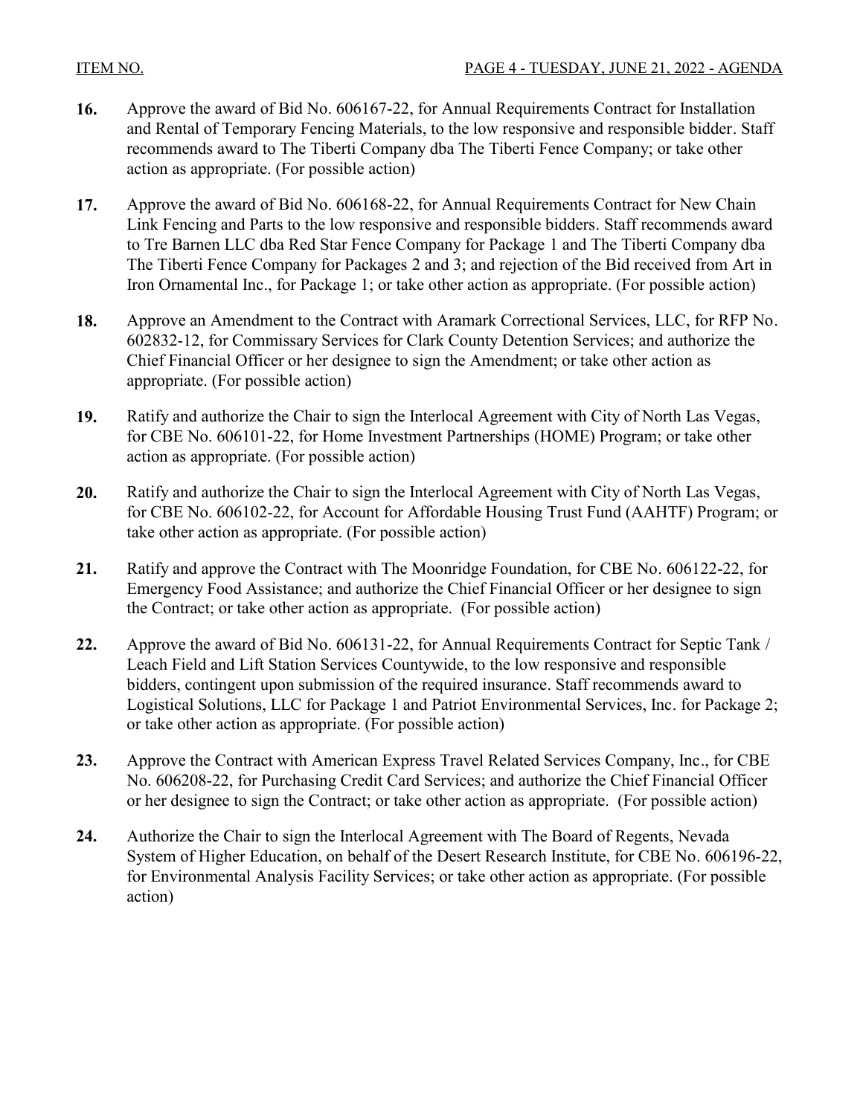- **16.** Approve the award of Bid No. 606167-22, for Annual Requirements Contract for Installation [and Rental of Temporary Fencing Materials, to the low responsive and responsible bidder. Staff](http://clark.legistar.com/gateway.aspx?m=l&id=/matter.aspx?key=8862)  recommends award to The Tiberti Company dba The Tiberti Fence Company; or take other action as appropriate. (For possible action)
- **17.** Approve the award of Bid No. 606168-22, for Annual Requirements Contract for New Chain [Link Fencing and Parts to the low responsive and responsible bidders. Staff recommends award](http://clark.legistar.com/gateway.aspx?m=l&id=/matter.aspx?key=8863)  to Tre Barnen LLC dba Red Star Fence Company for Package 1 and The Tiberti Company dba The Tiberti Fence Company for Packages 2 and 3; and rejection of the Bid received from Art in Iron Ornamental Inc., for Package 1; or take other action as appropriate. (For possible action)
- **18.** [Approve an Amendment to the Contract with Aramark Correctional Services, LLC, for RFP No.](http://clark.legistar.com/gateway.aspx?m=l&id=/matter.aspx?key=8864)  602832-12, for Commissary Services for Clark County Detention Services; and authorize the Chief Financial Officer or her designee to sign the Amendment; or take other action as appropriate. (For possible action)
- **19.** [Ratify and authorize the Chair to sign the Interlocal Agreement with City of North Las Vegas,](http://clark.legistar.com/gateway.aspx?m=l&id=/matter.aspx?key=8865)  for CBE No. 606101-22, for Home Investment Partnerships (HOME) Program; or take other action as appropriate. (For possible action)
- **20.** Ratify and authorize the Chair to sign the Interlocal Agreement with City of North Las Vegas, [for CBE No. 606102-22, for Account for Affordable Housing Trust Fund \(AAHTF\) Program; or](http://clark.legistar.com/gateway.aspx?m=l&id=/matter.aspx?key=8866)  take other action as appropriate. (For possible action)
- **21.** [Ratify and approve the Contract with The Moonridge Foundation, for CBE No. 606122-22, for](http://clark.legistar.com/gateway.aspx?m=l&id=/matter.aspx?key=8867)  Emergency Food Assistance; and authorize the Chief Financial Officer or her designee to sign the Contract; or take other action as appropriate. (For possible action)
- **22.** Approve the award of Bid No. 606131-22, for Annual Requirements Contract for Septic Tank / Leach Field and Lift Station Services Countywide, to the low responsive and responsible bidders, contingent upon submission of the required insurance. Staff recommends award to [Logistical Solutions, LLC for Package 1 and Patriot Environmental Services, Inc. for Package 2;](http://clark.legistar.com/gateway.aspx?m=l&id=/matter.aspx?key=8868)  or take other action as appropriate. (For possible action)
- **23.** [Approve the Contract with American Express Travel Related Services Company, Inc., for CBE](http://clark.legistar.com/gateway.aspx?m=l&id=/matter.aspx?key=8869)  No. 606208-22, for Purchasing Credit Card Services; and authorize the Chief Financial Officer or her designee to sign the Contract; or take other action as appropriate. (For possible action)
- **24.** Authorize the Chair to sign the Interlocal Agreement with The Board of Regents, Nevada [System of Higher Education, on behalf of the Desert Research Institute, for CBE No. 606196-22,](http://clark.legistar.com/gateway.aspx?m=l&id=/matter.aspx?key=8985) for Environmental Analysis Facility Services; or take other action as appropriate. (For possible action)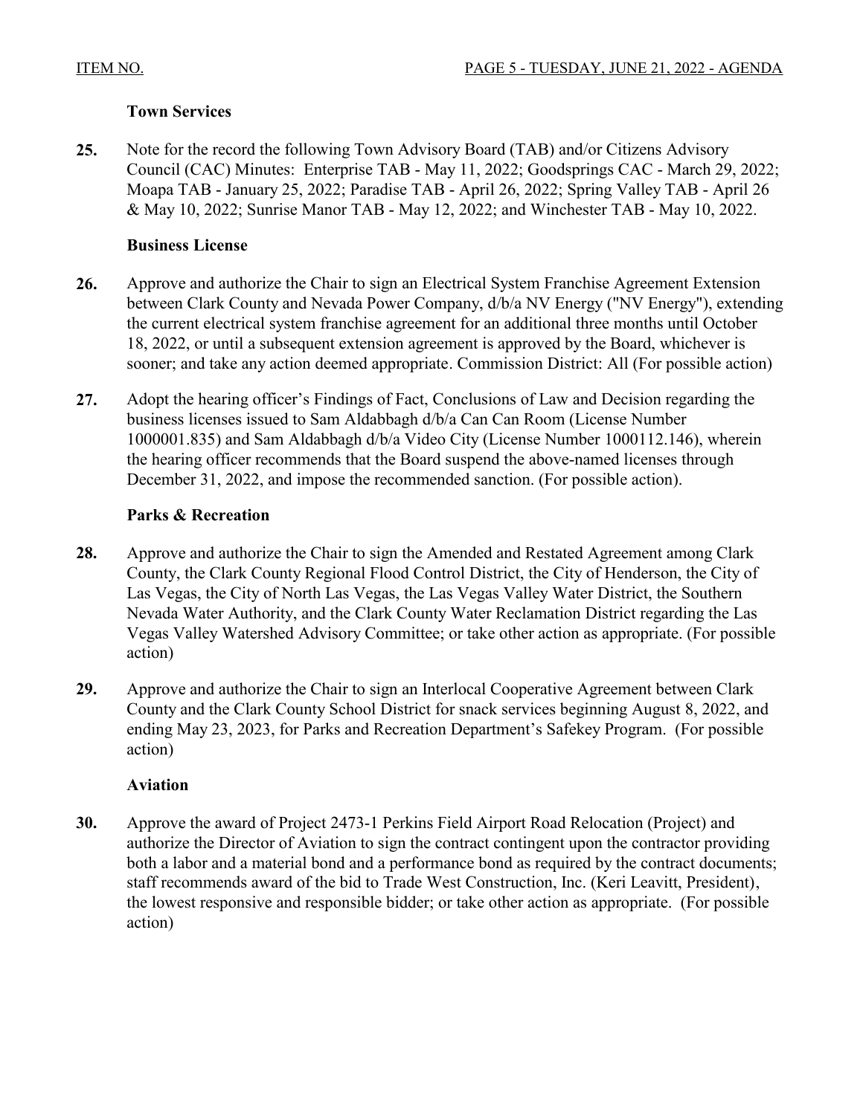### **Town Services**

**25.** Note for the record the following Town Advisory Board (TAB) and/or Citizens Advisory [Council \(CAC\) Minutes: Enterprise TAB - May 11, 2022; Goodsprings CAC - March 29, 2022;](http://clark.legistar.com/gateway.aspx?m=l&id=/matter.aspx?key=9157)  Moapa TAB - January 25, 2022; Paradise TAB - April 26, 2022; Spring Valley TAB - April 26 & May 10, 2022; Sunrise Manor TAB - May 12, 2022; and Winchester TAB - May 10, 2022.

### **Business License**

- **26.** Approve and authorize the Chair to sign an Electrical System Franchise Agreement Extension [between Clark County and Nevada Power Company, d/b/a NV Energy \("NV Energy"\), extending](http://clark.legistar.com/gateway.aspx?m=l&id=/matter.aspx?key=9088) the current electrical system franchise agreement for an additional three months until October 18, 2022, or until a subsequent extension agreement is approved by the Board, whichever is sooner; and take any action deemed appropriate. Commission District: All (For possible action)
- **27.** Adopt the hearing officer's Findings of Fact, Conclusions of Law and Decision regarding the business licenses issued to Sam Aldabbagh d/b/a Can Can Room (License Number [1000001.835\) and Sam Aldabbagh d/b/a Video City \(License Number 1000112.146\), wherein](http://clark.legistar.com/gateway.aspx?m=l&id=/matter.aspx?key=9093)  the hearing officer recommends that the Board suspend the above-named licenses through December 31, 2022, and impose the recommended sanction. (For possible action).

### **Parks & Recreation**

- **28.** Approve and authorize the Chair to sign the Amended and Restated Agreement among Clark County, the Clark County Regional Flood Control District, the City of Henderson, the City of Las Vegas, the City of North Las Vegas, the Las Vegas Valley Water District, the Southern Nevada Water Authority, and the Clark County Water Reclamation District regarding the Las [Vegas Valley Watershed Advisory Committee; or take other action as appropriate. \(For possible](http://clark.legistar.com/gateway.aspx?m=l&id=/matter.aspx?key=9034)  action)
- **29.** Approve and authorize the Chair to sign an Interlocal Cooperative Agreement between Clark [County and the Clark County School District for snack services beginning August 8, 2022, and](http://clark.legistar.com/gateway.aspx?m=l&id=/matter.aspx?key=9035)  ending May 23, 2023, for Parks and Recreation Department's Safekey Program. (For possible action)

### **Aviation**

**30.** Approve the award of Project 2473-1 Perkins Field Airport Road Relocation (Project) and authorize the Director of Aviation to sign the contract contingent upon the contractor providing [both a labor and a material bond and a performance bond as required by the contract documents;](http://clark.legistar.com/gateway.aspx?m=l&id=/matter.aspx?key=9057)  staff recommends award of the bid to Trade West Construction, Inc. (Keri Leavitt, President), the lowest responsive and responsible bidder; or take other action as appropriate. (For possible action)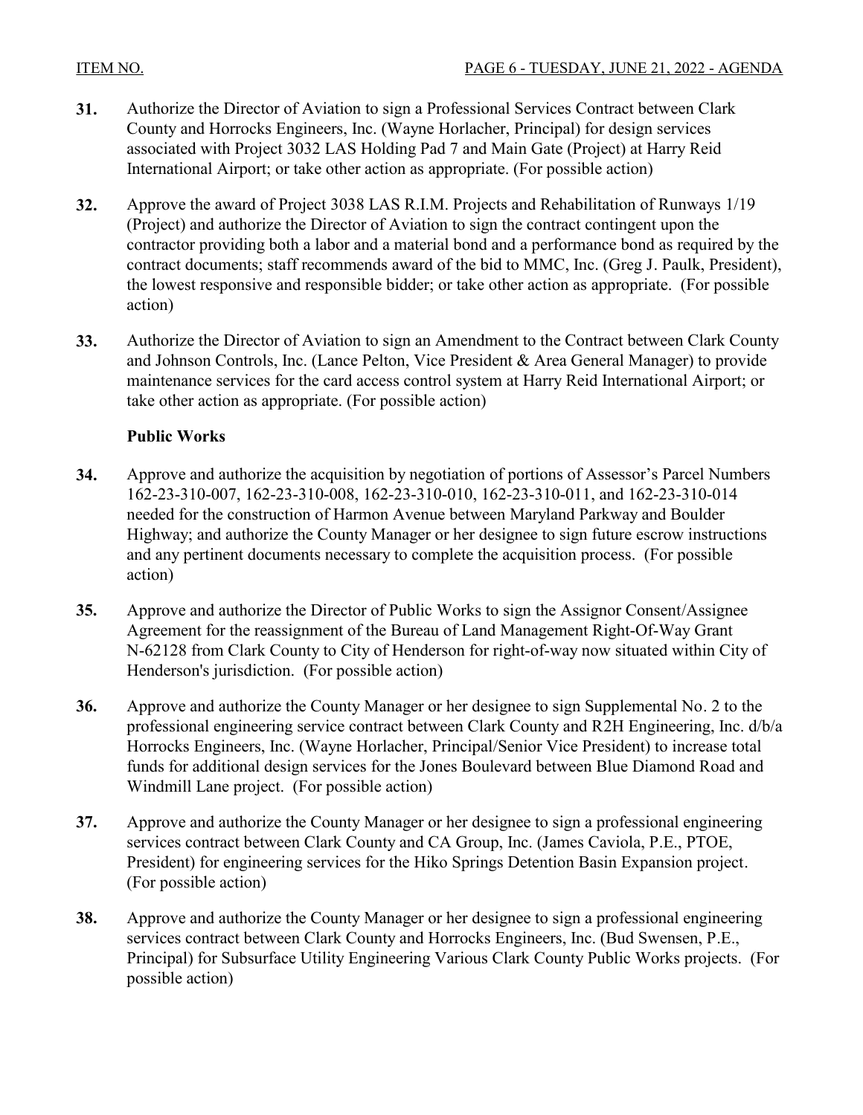- **31.** [Authorize the Director of Aviation to sign a Professional Services Contract between Clark](http://clark.legistar.com/gateway.aspx?m=l&id=/matter.aspx?key=9059)  County and Horrocks Engineers, Inc. (Wayne Horlacher, Principal) for design services associated with Project 3032 LAS Holding Pad 7 and Main Gate (Project) at Harry Reid International Airport; or take other action as appropriate. (For possible action)
- **32.** Approve the award of Project 3038 LAS R.I.M. Projects and Rehabilitation of Runways 1/19 (Project) and authorize the Director of Aviation to sign the contract contingent upon the [contractor providing both a labor and a material bond and a performance bond as required by the](http://clark.legistar.com/gateway.aspx?m=l&id=/matter.aspx?key=9060)  contract documents; staff recommends award of the bid to MMC, Inc. (Greg J. Paulk, President), the lowest responsive and responsible bidder; or take other action as appropriate. (For possible action)
- **33.** [Authorize the Director of Aviation to sign an Amendment to the Contract between Clark County](http://clark.legistar.com/gateway.aspx?m=l&id=/matter.aspx?key=9061)  and Johnson Controls, Inc. (Lance Pelton, Vice President & Area General Manager) to provide maintenance services for the card access control system at Harry Reid International Airport; or take other action as appropriate. (For possible action)

### **Public Works**

- **34.** [Approve and authorize the acquisition by negotiation of portions of Assessor's Parcel Numbers](http://clark.legistar.com/gateway.aspx?m=l&id=/matter.aspx?key=9037)  162-23-310-007, 162-23-310-008, 162-23-310-010, 162-23-310-011, and 162-23-310-014 needed for the construction of Harmon Avenue between Maryland Parkway and Boulder Highway; and authorize the County Manager or her designee to sign future escrow instructions and any pertinent documents necessary to complete the acquisition process. (For possible action)
- **35.** Approve and authorize the Director of Public Works to sign the Assignor Consent/Assignee Agreement for the reassignment of the Bureau of Land Management Right-Of-Way Grant [N-62128 from Clark County to City of Henderson for right-of-way now situated within City of](http://clark.legistar.com/gateway.aspx?m=l&id=/matter.aspx?key=9038)  Henderson's jurisdiction. (For possible action)
- **36.** Approve and authorize the County Manager or her designee to sign Supplemental No. 2 to the [professional engineering service contract between Clark County and R2H Engineering, Inc. d/b/a](http://clark.legistar.com/gateway.aspx?m=l&id=/matter.aspx?key=9040) Horrocks Engineers, Inc. (Wayne Horlacher, Principal/Senior Vice President) to increase total funds for additional design services for the Jones Boulevard between Blue Diamond Road and Windmill Lane project. (For possible action)
- **37.** [Approve and authorize the County Manager or her designee to sign a professional engineering](http://clark.legistar.com/gateway.aspx?m=l&id=/matter.aspx?key=9041)  services contract between Clark County and CA Group, Inc. (James Caviola, P.E., PTOE, President) for engineering services for the Hiko Springs Detention Basin Expansion project. (For possible action)
- **38.** Approve and authorize the County Manager or her designee to sign a professional engineering services contract between Clark County and Horrocks Engineers, Inc. (Bud Swensen, P.E., [Principal\) for Subsurface Utility Engineering Various Clark County Public Works projects. \(For](http://clark.legistar.com/gateway.aspx?m=l&id=/matter.aspx?key=9042)  possible action)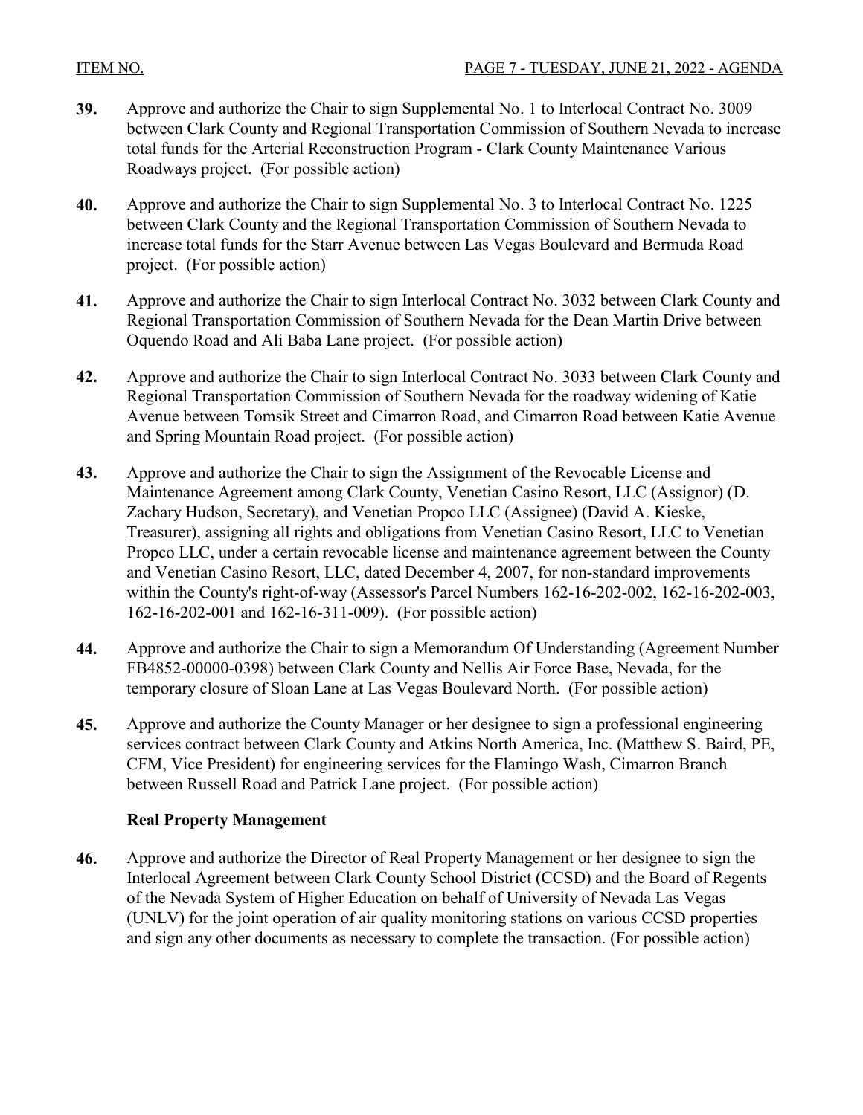- **39.** Approve and authorize the Chair to sign Supplemental No. 1 to Interlocal Contract No. 3009 [between Clark County and Regional Transportation Commission of Southern Nevada to increase](http://clark.legistar.com/gateway.aspx?m=l&id=/matter.aspx?key=9043)  total funds for the Arterial Reconstruction Program - Clark County Maintenance Various Roadways project. (For possible action)
- **40.** [Approve and authorize the Chair to sign Supplemental No. 3 to Interlocal Contract No. 1225](http://clark.legistar.com/gateway.aspx?m=l&id=/matter.aspx?key=9044)  between Clark County and the Regional Transportation Commission of Southern Nevada to increase total funds for the Starr Avenue between Las Vegas Boulevard and Bermuda Road project. (For possible action)
- **41.** [Approve and authorize the Chair to sign Interlocal Contract No. 3032 between Clark County and](http://clark.legistar.com/gateway.aspx?m=l&id=/matter.aspx?key=9045)  Regional Transportation Commission of Southern Nevada for the Dean Martin Drive between Oquendo Road and Ali Baba Lane project. (For possible action)
- **42.** [Approve and authorize the Chair to sign Interlocal Contract No. 3033 between Clark County and](http://clark.legistar.com/gateway.aspx?m=l&id=/matter.aspx?key=9046)  Regional Transportation Commission of Southern Nevada for the roadway widening of Katie Avenue between Tomsik Street and Cimarron Road, and Cimarron Road between Katie Avenue and Spring Mountain Road project. (For possible action)
- **43.** Approve and authorize the Chair to sign the Assignment of the Revocable License and Maintenance Agreement among Clark County, Venetian Casino Resort, LLC (Assignor) (D. Zachary Hudson, Secretary), and Venetian Propco LLC (Assignee) (David A. Kieske, Treasurer), assigning all rights and obligations from Venetian Casino Resort, LLC to Venetian Propco LLC, under a certain revocable license and maintenance agreement between the County and Venetian Casino Resort, LLC, dated December 4, 2007, for non-standard improvements [within the County's right-of-way \(Assessor's Parcel Numbers 162-16-202-002, 162-16-202-003,](http://clark.legistar.com/gateway.aspx?m=l&id=/matter.aspx?key=9047)  162-16-202-001 and 162-16-311-009). (For possible action)
- **44.** [Approve and authorize the Chair to sign a Memorandum Of Understanding \(Agreement Number](http://clark.legistar.com/gateway.aspx?m=l&id=/matter.aspx?key=9048)  FB4852-00000-0398) between Clark County and Nellis Air Force Base, Nevada, for the temporary closure of Sloan Lane at Las Vegas Boulevard North. (For possible action)
- **45.** Approve and authorize the County Manager or her designee to sign a professional engineering [services contract between Clark County and Atkins North America, Inc. \(Matthew S. Baird, PE,](http://clark.legistar.com/gateway.aspx?m=l&id=/matter.aspx?key=9084)  CFM, Vice President) for engineering services for the Flamingo Wash, Cimarron Branch between Russell Road and Patrick Lane project. (For possible action)

### **Real Property Management**

**46.** Approve and authorize the Director of Real Property Management or her designee to sign the [Interlocal Agreement between Clark County School District \(CCSD\) and the Board of Regents](http://clark.legistar.com/gateway.aspx?m=l&id=/matter.aspx?key=9071)  of the Nevada System of Higher Education on behalf of University of Nevada Las Vegas (UNLV) for the joint operation of air quality monitoring stations on various CCSD properties and sign any other documents as necessary to complete the transaction. (For possible action)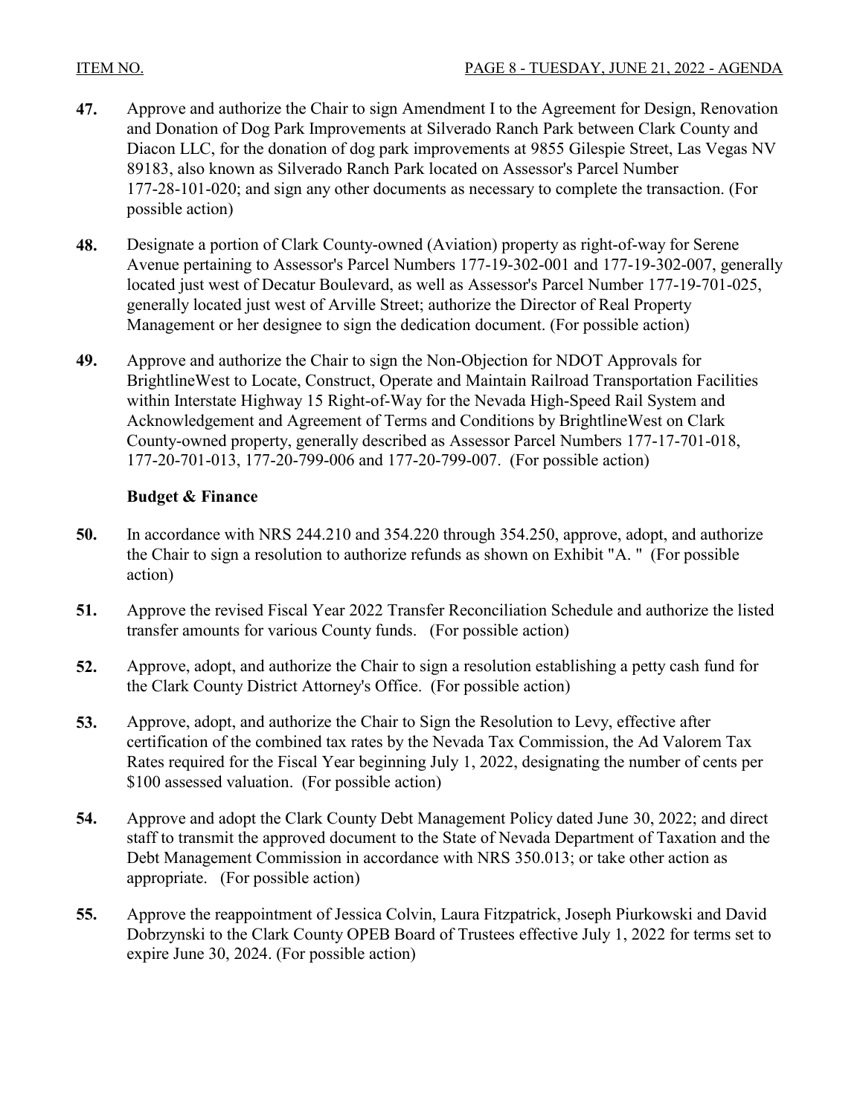- **47.** [Approve and authorize the Chair to sign Amendment I to the Agreement for Design, Renovation](http://clark.legistar.com/gateway.aspx?m=l&id=/matter.aspx?key=9073)  and Donation of Dog Park Improvements at Silverado Ranch Park between Clark County and Diacon LLC, for the donation of dog park improvements at 9855 Gilespie Street, Las Vegas NV 89183, also known as Silverado Ranch Park located on Assessor's Parcel Number 177-28-101-020; and sign any other documents as necessary to complete the transaction. (For possible action)
- **48.** Designate a portion of Clark County-owned (Aviation) property as right-of-way for Serene [Avenue pertaining to Assessor's Parcel Numbers 177-19-302-001 and 177-19-302-007, generally](http://clark.legistar.com/gateway.aspx?m=l&id=/matter.aspx?key=9074) located just west of Decatur Boulevard, as well as Assessor's Parcel Number 177-19-701-025, generally located just west of Arville Street; authorize the Director of Real Property Management or her designee to sign the dedication document. (For possible action)
- **49.** Approve and authorize the Chair to sign the Non-Objection for NDOT Approvals for [BrightlineWest to Locate, Construct, Operate and Maintain Railroad Transportation Facilities](http://clark.legistar.com/gateway.aspx?m=l&id=/matter.aspx?key=9243)  within Interstate Highway 15 Right-of-Way for the Nevada High-Speed Rail System and Acknowledgement and Agreement of Terms and Conditions by BrightlineWest on Clark County-owned property, generally described as Assessor Parcel Numbers 177-17-701-018, 177-20-701-013, 177-20-799-006 and 177-20-799-007. (For possible action)

### **Budget & Finance**

- **50.** [In accordance with NRS 244.210 and 354.220 through 354.250, approve, adopt, and authorize](http://clark.legistar.com/gateway.aspx?m=l&id=/matter.aspx?key=9058)  the Chair to sign a resolution to authorize refunds as shown on Exhibit "A. " (For possible action)
- **51.** [Approve the revised Fiscal Year 2022 Transfer Reconciliation Schedule and authorize the listed](http://clark.legistar.com/gateway.aspx?m=l&id=/matter.aspx?key=9095)  transfer amounts for various County funds. (For possible action)
- **52.** [Approve, adopt, and authorize the Chair to sign a resolution establishing a petty cash fund for](http://clark.legistar.com/gateway.aspx?m=l&id=/matter.aspx?key=9096)  the Clark County District Attorney's Office. (For possible action)
- **53.** Approve, adopt, and authorize the Chair to Sign the Resolution to Levy, effective after certification of the combined tax rates by the Nevada Tax Commission, the Ad Valorem Tax [Rates required for the Fiscal Year beginning July 1, 2022, designating the number of cents per](http://clark.legistar.com/gateway.aspx?m=l&id=/matter.aspx?key=9097)  \$100 assessed valuation. (For possible action)
- **54.** Approve and adopt the Clark County Debt Management Policy dated June 30, 2022; and direct [staff to transmit the approved document to the State of Nevada Department of Taxation and the](http://clark.legistar.com/gateway.aspx?m=l&id=/matter.aspx?key=9098)  Debt Management Commission in accordance with NRS 350.013; or take other action as appropriate. (For possible action)
- **55.** Approve the reappointment of Jessica Colvin, Laura Fitzpatrick, Joseph Piurkowski and David [Dobrzynski to the Clark County OPEB Board of Trustees effective July 1, 2022 for terms set to](http://clark.legistar.com/gateway.aspx?m=l&id=/matter.aspx?key=9099)  expire June 30, 2024. (For possible action)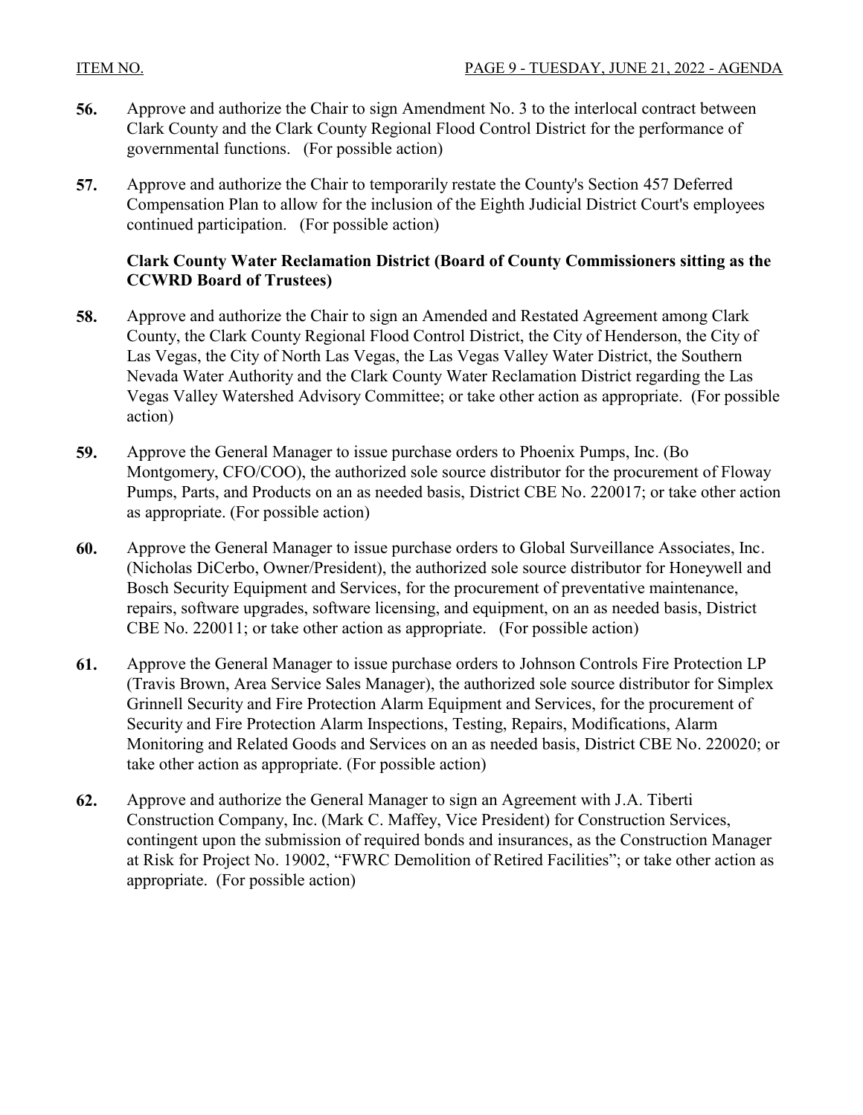- **56.** [Approve and authorize the Chair to sign Amendment No. 3 to the interlocal contract between](http://clark.legistar.com/gateway.aspx?m=l&id=/matter.aspx?key=9100)  Clark County and the Clark County Regional Flood Control District for the performance of governmental functions. (For possible action)
- **57.** Approve and authorize the Chair to temporarily restate the County's Section 457 Deferred [Compensation Plan to allow for the inclusion of the Eighth Judicial District Court's employees](http://clark.legistar.com/gateway.aspx?m=l&id=/matter.aspx?key=9101)  continued participation. (For possible action)

#### **Clark County Water Reclamation District (Board of County Commissioners sitting as the CCWRD Board of Trustees)**

- **58.** Approve and authorize the Chair to sign an Amended and Restated Agreement among Clark County, the Clark County Regional Flood Control District, the City of Henderson, the City of Las Vegas, the City of North Las Vegas, the Las Vegas Valley Water District, the Southern Nevada Water Authority and the Clark County Water Reclamation District regarding the Las [Vegas Valley Watershed Advisory Committee; or take other action as appropriate. \(For possible](http://clark.legistar.com/gateway.aspx?m=l&id=/matter.aspx?key=9021)  action)
- **59.** Approve the General Manager to issue purchase orders to Phoenix Pumps, Inc. (Bo Montgomery, CFO/COO), the authorized sole source distributor for the procurement of Floway [Pumps, Parts, and Products on an as needed basis, District CBE No. 220017; or take other action](http://clark.legistar.com/gateway.aspx?m=l&id=/matter.aspx?key=9027)  as appropriate. (For possible action)
- **60.** Approve the General Manager to issue purchase orders to Global Surveillance Associates, Inc. [\(Nicholas DiCerbo, Owner/President\), the authorized sole source distributor for Honeywell and](http://clark.legistar.com/gateway.aspx?m=l&id=/matter.aspx?key=9028)  Bosch Security Equipment and Services, for the procurement of preventative maintenance, repairs, software upgrades, software licensing, and equipment, on an as needed basis, District CBE No. 220011; or take other action as appropriate. (For possible action)
- **61.** Approve the General Manager to issue purchase orders to Johnson Controls Fire Protection LP (Travis Brown, Area Service Sales Manager), the authorized sole source distributor for Simplex Grinnell Security and Fire Protection Alarm Equipment and Services, for the procurement of Security and Fire Protection Alarm Inspections, Testing, Repairs, Modifications, Alarm [Monitoring and Related Goods and Services on an as needed basis, District CBE No. 220020; or](http://clark.legistar.com/gateway.aspx?m=l&id=/matter.aspx?key=9029)  take other action as appropriate. (For possible action)
- **62.** Approve and authorize the General Manager to sign an Agreement with J.A. Tiberti Construction Company, Inc. (Mark C. Maffey, Vice President) for Construction Services, contingent upon the submission of required bonds and insurances, as the Construction Manager [at Risk for Project No. 19002, "FWRC Demolition of Retired Facilities"; or take other action as](http://clark.legistar.com/gateway.aspx?m=l&id=/matter.aspx?key=9051)  appropriate. (For possible action)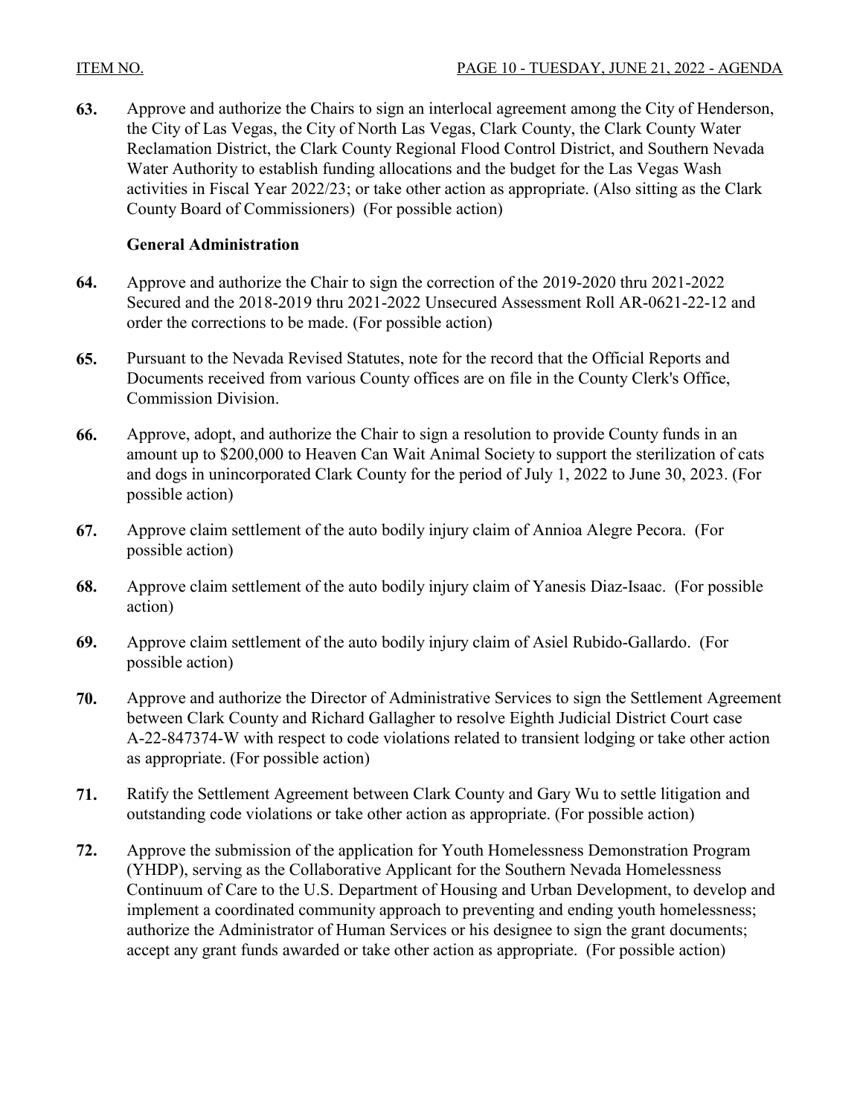**63.** [Approve and authorize the Chairs to sign an interlocal agreement among the City of Henderson,](http://clark.legistar.com/gateway.aspx?m=l&id=/matter.aspx?key=9055)  the City of Las Vegas, the City of North Las Vegas, Clark County, the Clark County Water Reclamation District, the Clark County Regional Flood Control District, and Southern Nevada Water Authority to establish funding allocations and the budget for the Las Vegas Wash activities in Fiscal Year 2022/23; or take other action as appropriate. (Also sitting as the Clark County Board of Commissioners) (For possible action)

### **General Administration**

- **64.** Approve and authorize the Chair to sign the correction of the 2019-2020 thru 2021-2022 [Secured and the 2018-2019 thru 2021-2022 Unsecured Assessment Roll AR-0621-22-12 and](http://clark.legistar.com/gateway.aspx?m=l&id=/matter.aspx?key=9030)  order the corrections to be made. (For possible action)
- **65.** Pursuant to the Nevada Revised Statutes, note for the record that the Official Reports and [Documents received from various County offices are on file in the County Clerk's Office,](http://clark.legistar.com/gateway.aspx?m=l&id=/matter.aspx?key=9156)  Commission Division.
- **66.** Approve, adopt, and authorize the Chair to sign a resolution to provide County funds in an [amount up to \\$200,000 to Heaven Can Wait Animal Society to support the sterilization of cats](http://clark.legistar.com/gateway.aspx?m=l&id=/matter.aspx?key=9064)  and dogs in unincorporated Clark County for the period of July 1, 2022 to June 30, 2023. (For possible action)
- **67.** [Approve claim settlement of the auto bodily injury claim of Annioa Alegre Pecora. \(For](http://clark.legistar.com/gateway.aspx?m=l&id=/matter.aspx?key=9086)  possible action)
- **68.** [Approve claim settlement of the auto bodily injury claim of Yanesis Diaz-Isaac. \(For possible](http://clark.legistar.com/gateway.aspx?m=l&id=/matter.aspx?key=9092)  action)
- **69.** [Approve claim settlement of the auto bodily injury claim of Asiel Rubido-Gallardo. \(For](http://clark.legistar.com/gateway.aspx?m=l&id=/matter.aspx?key=9094)  possible action)
- **70.** [Approve and authorize the Director of Administrative Services to sign the Settlement Agreement](http://clark.legistar.com/gateway.aspx?m=l&id=/matter.aspx?key=9227)  between Clark County and Richard Gallagher to resolve Eighth Judicial District Court case A-22-847374-W with respect to code violations related to transient lodging or take other action as appropriate. (For possible action)
- **71.** [Ratify the Settlement Agreement between Clark County and Gary Wu to settle litigation and](http://clark.legistar.com/gateway.aspx?m=l&id=/matter.aspx?key=9228)  outstanding code violations or take other action as appropriate. (For possible action)
- **72.** Approve the submission of the application for Youth Homelessness Demonstration Program (YHDP), serving as the Collaborative Applicant for the Southern Nevada Homelessness [Continuum of Care to the U.S. Department of Housing and Urban Development, to develop and](http://clark.legistar.com/gateway.aspx?m=l&id=/matter.aspx?key=9036)  implement a coordinated community approach to preventing and ending youth homelessness; authorize the Administrator of Human Services or his designee to sign the grant documents; accept any grant funds awarded or take other action as appropriate. (For possible action)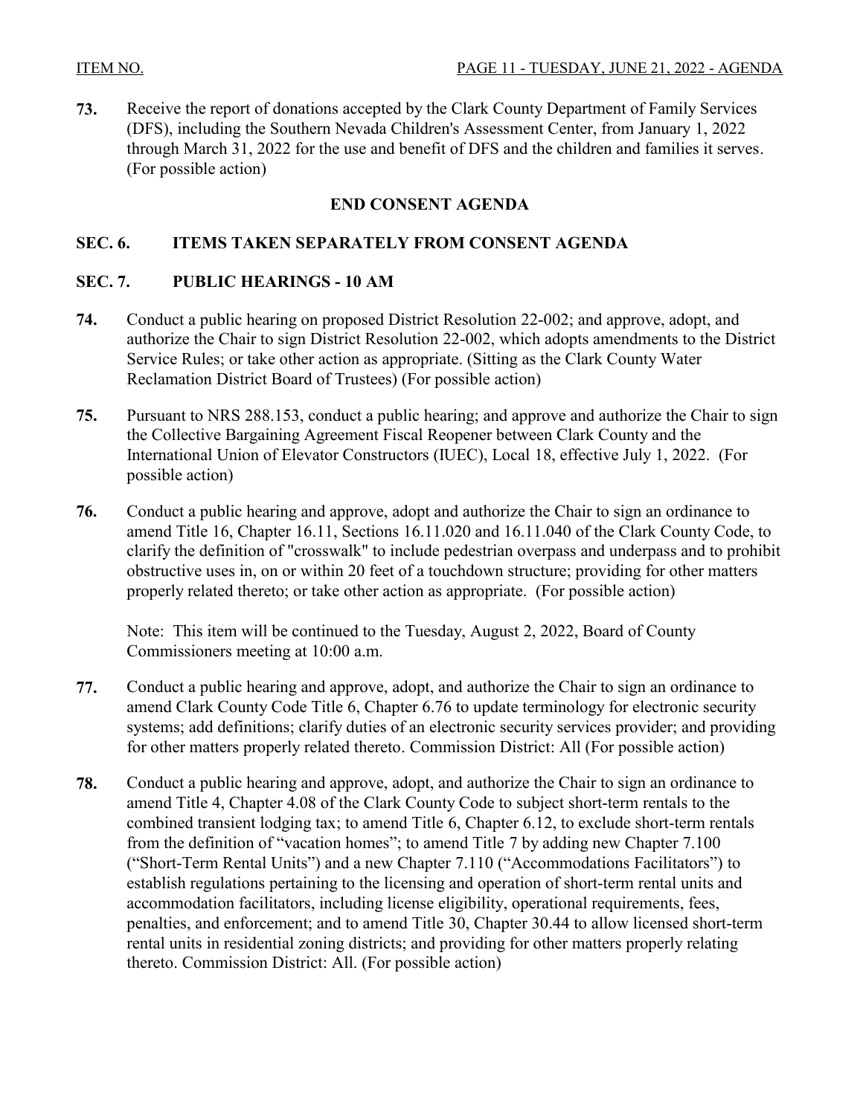**73.** Receive the report of donations accepted by the Clark County Department of Family Services (DFS), including the Southern Nevada Children's Assessment Center, from January 1, 2022 [through March 31, 2022 for the use and benefit of DFS and the children and families it serves.](http://clark.legistar.com/gateway.aspx?m=l&id=/matter.aspx?key=9033)  (For possible action)

# **END CONSENT AGENDA**

# **SEC. 6. ITEMS TAKEN SEPARATELY FROM CONSENT AGENDA**

#### **SEC. 7. PUBLIC HEARINGS - 10 AM**

- **74.** Conduct a public hearing on proposed District Resolution 22-002; and approve, adopt, and [authorize the Chair to sign District Resolution 22-002, which adopts amendments to the District](http://clark.legistar.com/gateway.aspx?m=l&id=/matter.aspx?key=9022)  Service Rules; or take other action as appropriate. (Sitting as the Clark County Water Reclamation District Board of Trustees) (For possible action)
- **75.** [Pursuant to NRS 288.153, conduct a public hearing; and approve and authorize the Chair to sign](http://clark.legistar.com/gateway.aspx?m=l&id=/matter.aspx?key=9062)  the Collective Bargaining Agreement Fiscal Reopener between Clark County and the International Union of Elevator Constructors (IUEC), Local 18, effective July 1, 2022. (For possible action)
- **76.** Conduct a public hearing and approve, adopt and authorize the Chair to sign an ordinance to amend Title 16, Chapter 16.11, Sections 16.11.020 and 16.11.040 of the Clark County Code, to [clarify the definition of "crosswalk" to include pedestrian overpass and underpass and to prohibit](http://clark.legistar.com/gateway.aspx?m=l&id=/matter.aspx?key=9075)  obstructive uses in, on or within 20 feet of a touchdown structure; providing for other matters properly related thereto; or take other action as appropriate. (For possible action)

Note: This item will be continued to the Tuesday, August 2, 2022, Board of County Commissioners meeting at 10:00 a.m.

- **77.** Conduct a public hearing and approve, adopt, and authorize the Chair to sign an ordinance to amend Clark County Code Title 6, Chapter 6.76 to update terminology for electronic security [systems; add definitions; clarify duties of an electronic security services provider; and providing](http://clark.legistar.com/gateway.aspx?m=l&id=/matter.aspx?key=9089)  for other matters properly related thereto. Commission District: All (For possible action)
- **78.** Conduct a public hearing and approve, adopt, and authorize the Chair to sign an ordinance to amend Title 4, Chapter 4.08 of the Clark County Code to subject short-term rentals to the combined transient lodging tax; to amend Title 6, Chapter 6.12, to exclude short-term rentals from the definition of "vacation homes"; to amend Title 7 by adding new Chapter 7.100 ("Short-Term Rental Units") and a new Chapter 7.110 ("Accommodations Facilitators") to establish regulations pertaining to the licensing and operation of short-term rental units and accommodation facilitators, including license eligibility, operational requirements, fees, [penalties, and enforcement; and to amend Title 30, Chapter 30.44 to allow licensed short-term](http://clark.legistar.com/gateway.aspx?m=l&id=/matter.aspx?key=9090)  rental units in residential zoning districts; and providing for other matters properly relating thereto. Commission District: All. (For possible action)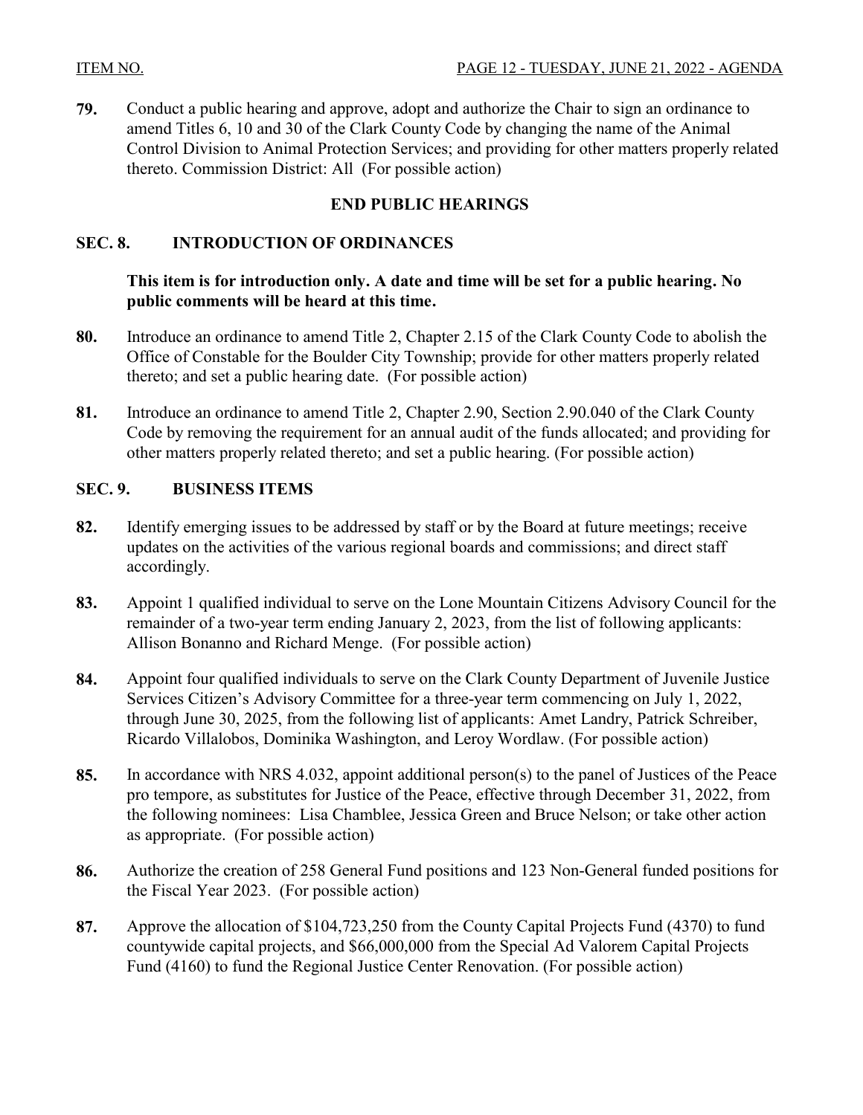**79.** Conduct a public hearing and approve, adopt and authorize the Chair to sign an ordinance to amend Titles 6, 10 and 30 of the Clark County Code by changing the name of the Animal [Control Division to Animal Protection Services; and providing for other matters properly related](http://clark.legistar.com/gateway.aspx?m=l&id=/matter.aspx?key=9082)  thereto. Commission District: All (For possible action)

# **END PUBLIC HEARINGS**

### **SEC. 8. INTRODUCTION OF ORDINANCES**

### **This item is for introduction only. A date and time will be set for a public hearing. No public comments will be heard at this time.**

- **80.** [Introduce an ordinance to amend Title 2, Chapter 2.15 of the Clark County Code to abolish the](http://clark.legistar.com/gateway.aspx?m=l&id=/matter.aspx?key=9103)  Office of Constable for the Boulder City Township; provide for other matters properly related thereto; and set a public hearing date. (For possible action)
- **81.** Introduce an ordinance to amend Title 2, Chapter 2.90, Section 2.90.040 of the Clark County [Code by removing the requirement for an annual audit of the funds allocated; and providing for](http://clark.legistar.com/gateway.aspx?m=l&id=/matter.aspx?key=9066)  other matters properly related thereto; and set a public hearing. (For possible action)

### **SEC. 9. BUSINESS ITEMS**

- **82.** [Identify emerging issues to be addressed by staff or by the Board at future meetings; receive](http://clark.legistar.com/gateway.aspx?m=l&id=/matter.aspx?key=8821)  updates on the activities of the various regional boards and commissions; and direct staff accordingly.
- **83.** [Appoint 1 qualified individual to serve on the Lone Mountain Citizens Advisory Council for the](http://clark.legistar.com/gateway.aspx?m=l&id=/matter.aspx?key=9065)  remainder of a two-year term ending January 2, 2023, from the list of following applicants: Allison Bonanno and Richard Menge. (For possible action)
- **84.** [Appoint four qualified individuals to serve on the Clark County Department of Juvenile Justice](http://clark.legistar.com/gateway.aspx?m=l&id=/matter.aspx?key=9091)  Services Citizen's Advisory Committee for a three-year term commencing on July 1, 2022, through June 30, 2025, from the following list of applicants: Amet Landry, Patrick Schreiber, Ricardo Villalobos, Dominika Washington, and Leroy Wordlaw. (For possible action)
- **85.** [In accordance with NRS 4.032, appoint additional person\(s\) to the panel of Justices of the Peace](http://clark.legistar.com/gateway.aspx?m=l&id=/matter.aspx?key=9039)  pro tempore, as substitutes for Justice of the Peace, effective through December 31, 2022, from the following nominees: Lisa Chamblee, Jessica Green and Bruce Nelson; or take other action as appropriate. (For possible action)
- **86.** [Authorize the creation of 258 General Fund positions and 123 Non-General funded positions for](http://clark.legistar.com/gateway.aspx?m=l&id=/matter.aspx?key=9102)  the Fiscal Year 2023. (For possible action)
- **87.** [Approve the allocation of \\$104,723,250 from the County Capital Projects Fund \(4370\) to fund](http://clark.legistar.com/gateway.aspx?m=l&id=/matter.aspx?key=9230)  countywide capital projects, and \$66,000,000 from the Special Ad Valorem Capital Projects Fund (4160) to fund the Regional Justice Center Renovation. (For possible action)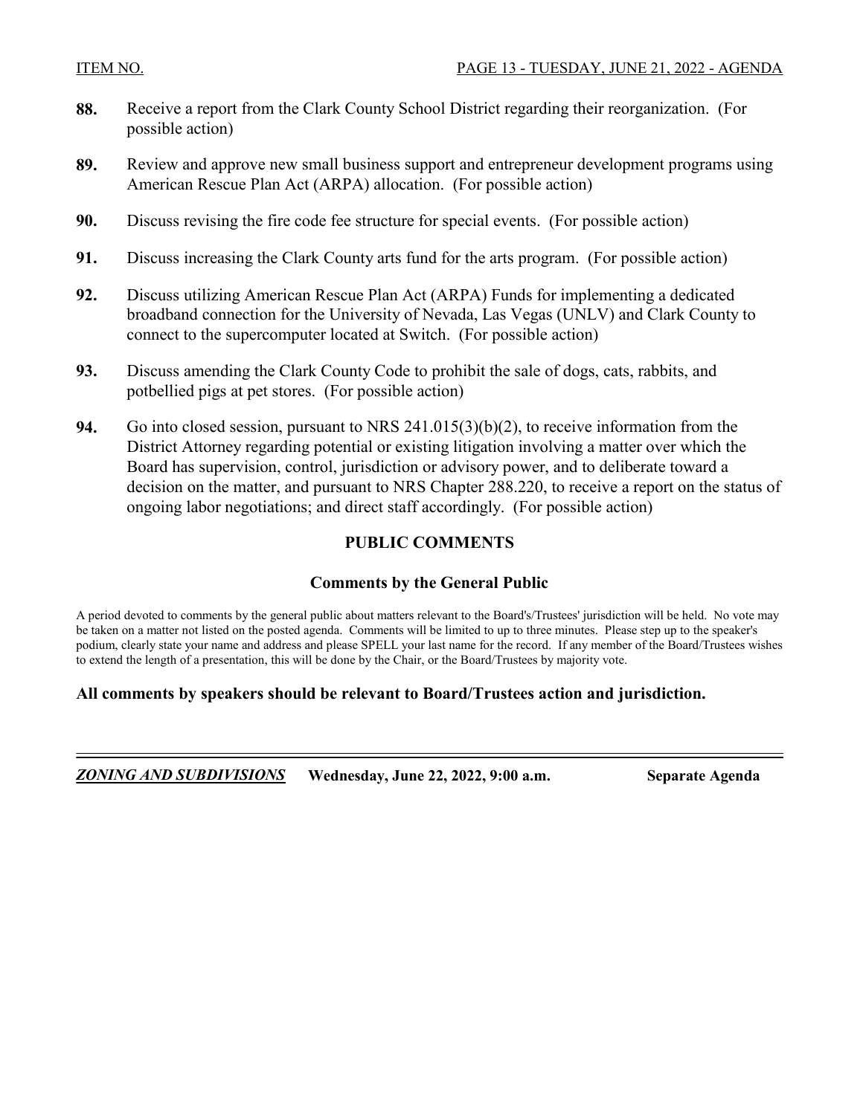- **88.** [Receive a report from the Clark County School District regarding their reorganization. \(For](http://clark.legistar.com/gateway.aspx?m=l&id=/matter.aspx?key=9076)  possible action)
- **89.** [Review and approve new small business support and entrepreneur development programs using](http://clark.legistar.com/gateway.aspx?m=l&id=/matter.aspx?key=9229)  American Rescue Plan Act (ARPA) allocation. (For possible action)
- **90.** [Discuss revising the fire code fee structure for special events. \(For possible action\)](http://clark.legistar.com/gateway.aspx?m=l&id=/matter.aspx?key=9063)
- **91.** [Discuss increasing the Clark County arts fund for the arts program. \(For possible action\)](http://clark.legistar.com/gateway.aspx?m=l&id=/matter.aspx?key=9068)
- **92.** Discuss utilizing American Rescue Plan Act (ARPA) Funds for implementing a dedicated [broadband connection for the University of Nevada, Las Vegas \(UNLV\) and Clark County to](http://clark.legistar.com/gateway.aspx?m=l&id=/matter.aspx?key=9241)  connect to the supercomputer located at Switch. (For possible action)
- **93.** [Discuss amending the Clark County Code to prohibit the sale of dogs, cats, rabbits, and](http://clark.legistar.com/gateway.aspx?m=l&id=/matter.aspx?key=9244)  potbellied pigs at pet stores. (For possible action)
- **94.** Go into closed session, pursuant to NRS 241.015(3)(b)(2), to receive information from the District Attorney regarding potential or existing litigation involving a matter over which the Board has supervision, control, jurisdiction or advisory power, and to deliberate toward a [decision on the matter, and pursuant to NRS Chapter 288.220, to receive a report on the status of](http://clark.legistar.com/gateway.aspx?m=l&id=/matter.aspx?key=8822)  ongoing labor negotiations; and direct staff accordingly. (For possible action)

### **PUBLIC COMMENTS**

### **Comments by the General Public**

A period devoted to comments by the general public about matters relevant to the Board's/Trustees' jurisdiction will be held. No vote may be taken on a matter not listed on the posted agenda. Comments will be limited to up to three minutes. Please step up to the speaker's podium, clearly state your name and address and please SPELL your last name for the record. If any member of the Board/Trustees wishes to extend the length of a presentation, this will be done by the Chair, or the Board/Trustees by majority vote.

#### **All comments by speakers should be relevant to Board/Trustees action and jurisdiction.**

*ZONING AND SUBDIVISIONS* **Wednesday, June 22, 2022, 9:00 a.m. Separate Agenda**